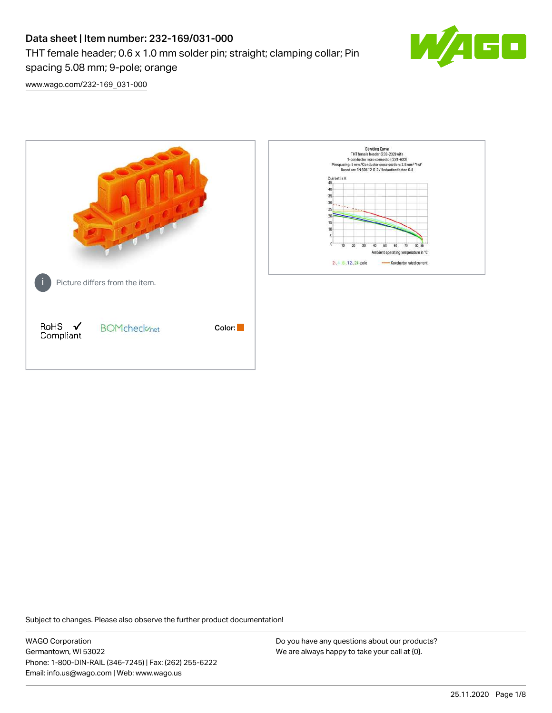# Data sheet | Item number: 232-169/031-000 THT female header; 0.6 x 1.0 mm solder pin; straight; clamping collar; Pin spacing 5.08 mm; 9-pole; orange



[www.wago.com/232-169\\_031-000](http://www.wago.com/232-169_031-000)



Subject to changes. Please also observe the further product documentation!

WAGO Corporation Germantown, WI 53022 Phone: 1-800-DIN-RAIL (346-7245) | Fax: (262) 255-6222 Email: info.us@wago.com | Web: www.wago.us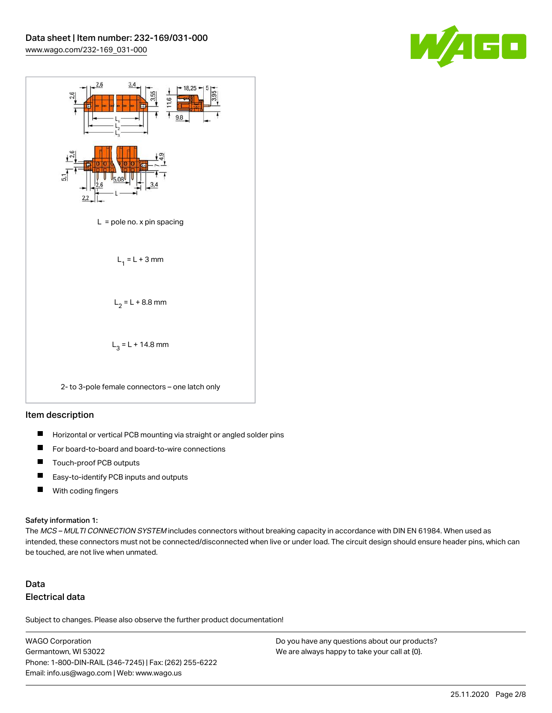



#### Item description

- $\blacksquare$ Horizontal or vertical PCB mounting via straight or angled solder pins
- П For board-to-board and board-to-wire connections
- $\blacksquare$ Touch-proof PCB outputs
- $\blacksquare$ Easy-to-identify PCB inputs and outputs
- $\blacksquare$ With coding fingers

#### Safety information 1:

The MCS - MULTI CONNECTION SYSTEM includes connectors without breaking capacity in accordance with DIN EN 61984. When used as intended, these connectors must not be connected/disconnected when live or under load. The circuit design should ensure header pins, which can be touched, are not live when unmated.

## Data Electrical data

Subject to changes. Please also observe the further product documentation!

WAGO Corporation Germantown, WI 53022 Phone: 1-800-DIN-RAIL (346-7245) | Fax: (262) 255-6222 Email: info.us@wago.com | Web: www.wago.us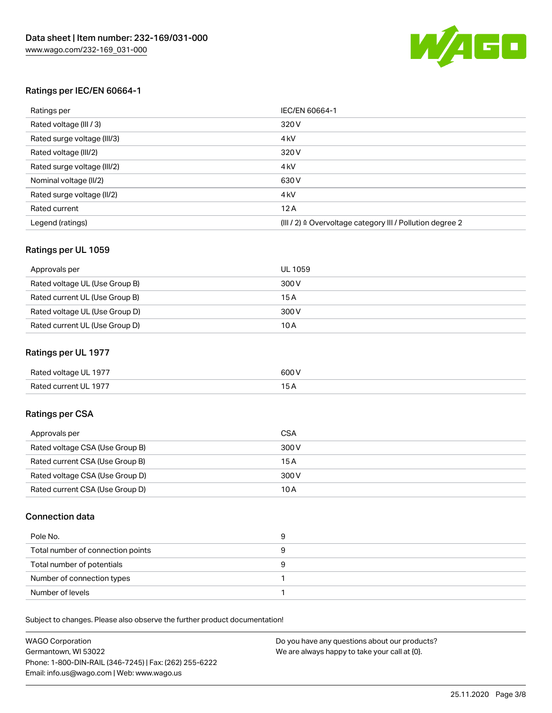

## Ratings per IEC/EN 60664-1

| Ratings per                 | IEC/EN 60664-1                                                        |
|-----------------------------|-----------------------------------------------------------------------|
| Rated voltage (III / 3)     | 320 V                                                                 |
| Rated surge voltage (III/3) | 4 <sub>k</sub> V                                                      |
| Rated voltage (III/2)       | 320 V                                                                 |
| Rated surge voltage (III/2) | 4 <sub>k</sub> V                                                      |
| Nominal voltage (II/2)      | 630 V                                                                 |
| Rated surge voltage (II/2)  | 4 <sub>k</sub> V                                                      |
| Rated current               | 12A                                                                   |
| Legend (ratings)            | $(III / 2)$ $\triangle$ Overvoltage category III / Pollution degree 2 |

## Ratings per UL 1059

| Approvals per                  | UL 1059 |
|--------------------------------|---------|
| Rated voltage UL (Use Group B) | 300 V   |
| Rated current UL (Use Group B) | 15 A    |
| Rated voltage UL (Use Group D) | 300 V   |
| Rated current UL (Use Group D) | 10 A    |

## Ratings per UL 1977

| Rated voltage UL 1977 | 600 <sup>V</sup><br>. |
|-----------------------|-----------------------|
| Rated current UL 1977 |                       |

## Ratings per CSA

| Approvals per                   | CSA   |
|---------------------------------|-------|
| Rated voltage CSA (Use Group B) | 300 V |
| Rated current CSA (Use Group B) | 15 A  |
| Rated voltage CSA (Use Group D) | 300 V |
| Rated current CSA (Use Group D) | 10 A  |

## Connection data

| Pole No.                          |  |
|-----------------------------------|--|
| Total number of connection points |  |
| Total number of potentials        |  |
| Number of connection types        |  |
| Number of levels                  |  |

Subject to changes. Please also observe the further product documentation!

| <b>WAGO Corporation</b>                                | Do you have any questions about our products? |
|--------------------------------------------------------|-----------------------------------------------|
| Germantown, WI 53022                                   | We are always happy to take your call at {0}. |
| Phone: 1-800-DIN-RAIL (346-7245)   Fax: (262) 255-6222 |                                               |
| Email: info.us@wago.com   Web: www.wago.us             |                                               |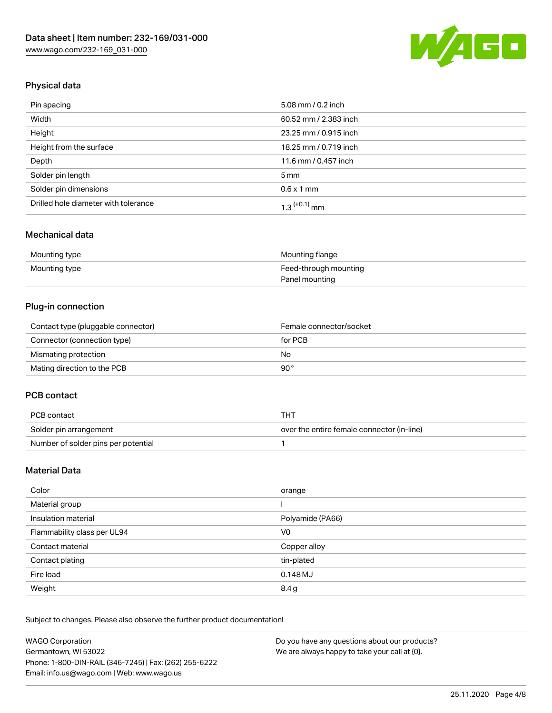

## Physical data

| Pin spacing                          | 5.08 mm / 0.2 inch    |
|--------------------------------------|-----------------------|
| Width                                | 60.52 mm / 2.383 inch |
| Height                               | 23.25 mm / 0.915 inch |
| Height from the surface              | 18.25 mm / 0.719 inch |
| Depth                                | 11.6 mm / 0.457 inch  |
| Solder pin length                    | $5 \,\mathrm{mm}$     |
| Solder pin dimensions                | $0.6 \times 1$ mm     |
| Drilled hole diameter with tolerance | $1.3$ $(+0.1)$ mm     |

## Mechanical data

| Mounting type | Mounting flange       |
|---------------|-----------------------|
| Mounting type | Feed-through mounting |
|               | Panel mounting        |

## Plug-in connection

| Contact type (pluggable connector) | Female connector/socket |
|------------------------------------|-------------------------|
| Connector (connection type)        | for PCB                 |
| Mismating protection               | No                      |
| Mating direction to the PCB        | 90°                     |

## PCB contact

| PCB contact                         | THT                                        |
|-------------------------------------|--------------------------------------------|
| Solder pin arrangement              | over the entire female connector (in-line) |
| Number of solder pins per potential |                                            |

## Material Data

| Color                       | orange           |
|-----------------------------|------------------|
| Material group              |                  |
| Insulation material         | Polyamide (PA66) |
| Flammability class per UL94 | V0               |
| Contact material            | Copper alloy     |
| Contact plating             | tin-plated       |
| Fire load                   | 0.148 MJ         |
| Weight                      | 8.4g             |

Subject to changes. Please also observe the further product documentation!

| <b>WAGO Corporation</b>                                | Do you have any questions about our products? |
|--------------------------------------------------------|-----------------------------------------------|
| Germantown, WI 53022                                   | We are always happy to take your call at {0}. |
| Phone: 1-800-DIN-RAIL (346-7245)   Fax: (262) 255-6222 |                                               |
| Email: info.us@wago.com   Web: www.wago.us             |                                               |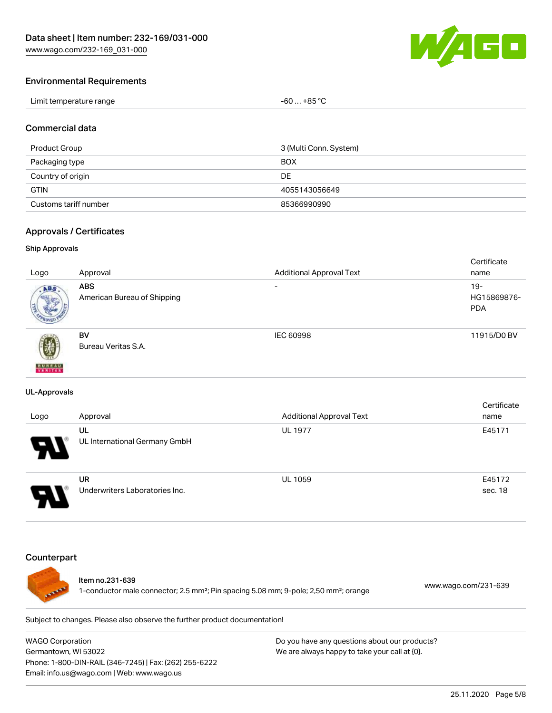

#### Environmental Requirements

| Limit temperature range | . +85 °C<br>-60 |
|-------------------------|-----------------|
|-------------------------|-----------------|

#### Commercial data

| Product Group         | 3 (Multi Conn. System) |
|-----------------------|------------------------|
| Packaging type        | <b>BOX</b>             |
| Country of origin     | DE                     |
| <b>GTIN</b>           | 4055143056649          |
| Customs tariff number | 85366990990            |

#### Approvals / Certificates

#### Ship Approvals

|                           |                             |                                 | Certificate |
|---------------------------|-----------------------------|---------------------------------|-------------|
| Logo                      | Approval                    | <b>Additional Approval Text</b> | name        |
| ABS.                      | <b>ABS</b>                  | $\overline{\phantom{0}}$        | $19 -$      |
|                           | American Bureau of Shipping |                                 | HG15869876- |
|                           |                             |                                 | <b>PDA</b>  |
|                           |                             |                                 |             |
|                           | <b>BV</b>                   | IEC 60998                       | 11915/D0 BV |
| 蓼                         | Bureau Veritas S.A.         |                                 |             |
|                           |                             |                                 |             |
| <b>BUREAU</b><br>VERITAST |                             |                                 |             |

#### UL-Approvals

| Logo                  | Approval                             | <b>Additional Approval Text</b> | Certificate<br>name |
|-----------------------|--------------------------------------|---------------------------------|---------------------|
| $\boldsymbol{\theta}$ | UL<br>UL International Germany GmbH  | <b>UL 1977</b>                  | E45171              |
| □                     | UR<br>Underwriters Laboratories Inc. | <b>UL 1059</b>                  | E45172<br>sec. 18   |

#### **Counterpart**



#### Item no.231-639

1-conductor male connector; 2.5 mm²; Pin spacing 5.08 mm; 9-pole; 2,50 mm²; orange [www.wago.com/231-639](https://www.wago.com/231-639)

Subject to changes. Please also observe the further product documentation!

WAGO Corporation Germantown, WI 53022 Phone: 1-800-DIN-RAIL (346-7245) | Fax: (262) 255-6222 Email: info.us@wago.com | Web: www.wago.us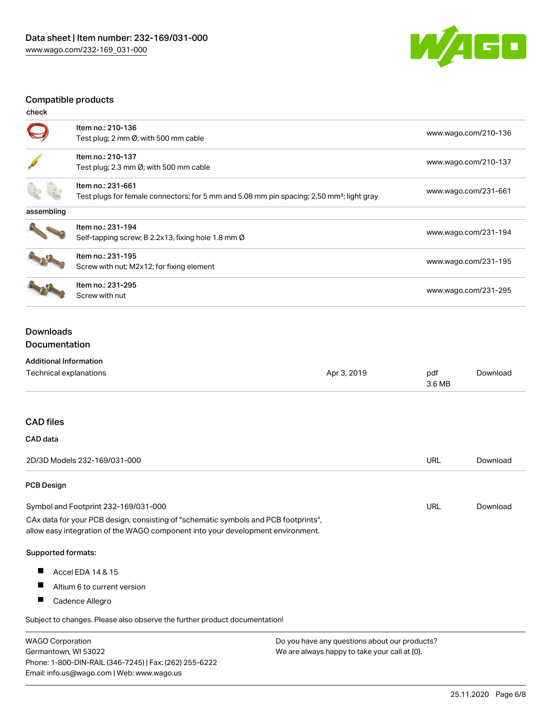

## Compatible products

| check      |                                                                                                                            |                      |
|------------|----------------------------------------------------------------------------------------------------------------------------|----------------------|
|            | Item no.: 210-136<br>Test plug; 2 mm Ø; with 500 mm cable                                                                  | www.wago.com/210-136 |
|            | Item no.: 210-137<br>Test plug; 2.3 mm $\emptyset$ ; with 500 mm cable                                                     | www.wago.com/210-137 |
|            | Item no.: 231-661<br>Test plugs for female connectors; for 5 mm and 5.08 mm pin spacing; 2,50 mm <sup>2</sup> ; light gray | www.wago.com/231-661 |
| assembling |                                                                                                                            |                      |
|            | Item no.: 231-194<br>Self-tapping screw; B 2.2x13, fixing hole 1.8 mm Ø                                                    | www.wago.com/231-194 |
|            | Item no.: 231-195<br>Screw with nut; M2x12; for fixing element                                                             | www.wago.com/231-195 |
|            | Item no.: 231-295<br>Screw with nut                                                                                        | www.wago.com/231-295 |
|            |                                                                                                                            |                      |

## Downloads Documentation

#### Additional Information

Germantown, WI 53022

Phone: 1-800-DIN-RAIL (346-7245) | Fax: (262) 255-6222

Email: info.us@wago.com | Web: www.wago.us

| Technical explanations                                                                                                                                                 | Apr 3, 2019                                   | pdf<br>3.6 MB | Download |
|------------------------------------------------------------------------------------------------------------------------------------------------------------------------|-----------------------------------------------|---------------|----------|
| <b>CAD files</b>                                                                                                                                                       |                                               |               |          |
| CAD data                                                                                                                                                               |                                               |               |          |
| 2D/3D Models 232-169/031-000                                                                                                                                           |                                               | <b>URL</b>    | Download |
| <b>PCB Design</b>                                                                                                                                                      |                                               |               |          |
| Symbol and Footprint 232-169/031-000                                                                                                                                   |                                               | URL           | Download |
| CAx data for your PCB design, consisting of "schematic symbols and PCB footprints",<br>allow easy integration of the WAGO component into your development environment. |                                               |               |          |
| <b>Supported formats:</b>                                                                                                                                              |                                               |               |          |
| ш<br>Accel EDA 14 & 15                                                                                                                                                 |                                               |               |          |
| ш<br>Altium 6 to current version                                                                                                                                       |                                               |               |          |
| ш<br>Cadence Allegro                                                                                                                                                   |                                               |               |          |
| Subject to changes. Please also observe the further product documentation!                                                                                             |                                               |               |          |
| <b>WAGO Corporation</b>                                                                                                                                                | Do you have any questions about our products? |               |          |

We are always happy to take your call at {0}.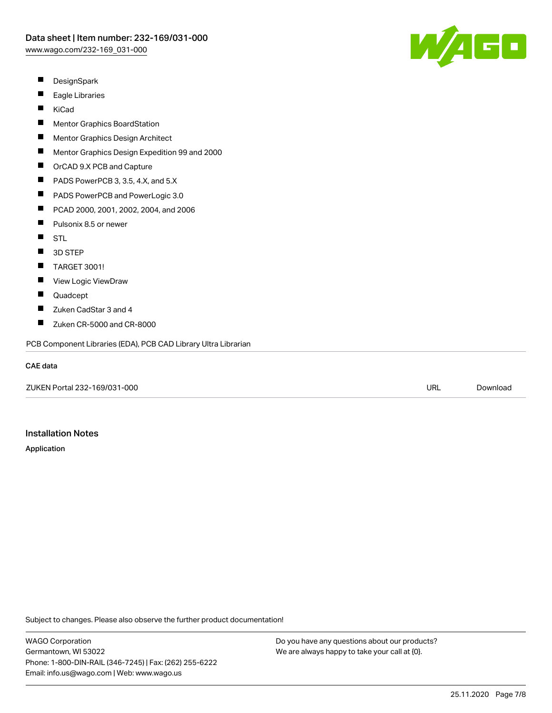W/AGC

- $\blacksquare$ **DesignSpark**
- $\blacksquare$ Eagle Libraries
- $\blacksquare$ KiCad
- $\blacksquare$ Mentor Graphics BoardStation
- П Mentor Graphics Design Architect
- $\blacksquare$ Mentor Graphics Design Expedition 99 and 2000
- $\blacksquare$ OrCAD 9.X PCB and Capture
- $\blacksquare$ PADS PowerPCB 3, 3.5, 4.X, and 5.X
- $\blacksquare$ PADS PowerPCB and PowerLogic 3.0
- $\blacksquare$ PCAD 2000, 2001, 2002, 2004, and 2006
- $\blacksquare$ Pulsonix 8.5 or newer
- STL  $\blacksquare$
- $\blacksquare$ 3D STEP
- $\blacksquare$ TARGET 3001!
- $\blacksquare$ View Logic ViewDraw
- $\blacksquare$ Quadcept
- П Zuken CadStar 3 and 4
- $\blacksquare$ Zuken CR-5000 and CR-8000

PCB Component Libraries (EDA), PCB CAD Library Ultra Librarian

#### CAE data

ZUKEN Portal 232-169/031-000 URL [Download](https://www.wago.com/us/d/Zuken_URLS_232-169_031-000)

#### Installation Notes

Application

Subject to changes. Please also observe the further product documentation!

WAGO Corporation Germantown, WI 53022 Phone: 1-800-DIN-RAIL (346-7245) | Fax: (262) 255-6222 Email: info.us@wago.com | Web: www.wago.us